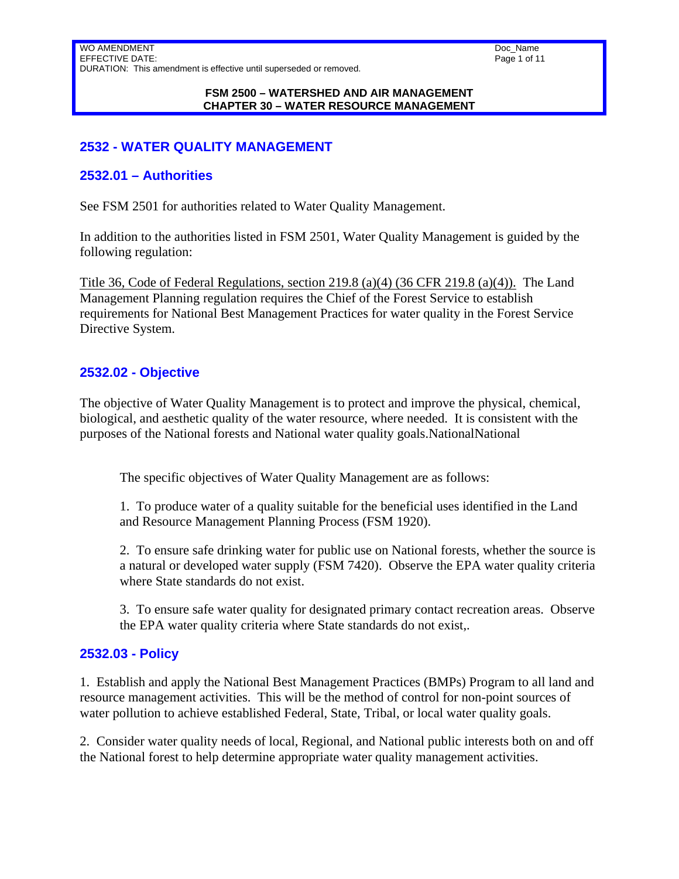WO AMENDMENT EFFECTIVE DATE: DURATION: This amendment is effective until superseded or removed.

#### **FSM 2500 – WATERSHED AND AIR MANAGEMENT CHAPTER 30 – WATER RESOURCE MANAGEMENT**

## **2532 - WATER QUALITY MANAGEMENT**

### **2532.01 – Authorities**

See FSM 2501 for authorities related to Water Quality Management.

In addition to the authorities listed in FSM 2501, Water Quality Management is guided by the following regulation:

Title 36, Code of Federal Regulations, section 219.8 (a)(4) (36 CFR 219.8 (a)(4)). The Land Management Planning regulation requires the Chief of the Forest Service to establish requirements for National Best Management Practices for water quality in the Forest Service Directive System.

### **2532.02 - Objective**

The objective of Water Quality Management is to protect and improve the physical, chemical, biological, and aesthetic quality of the water resource, where needed. It is consistent with the purposes of the National forests and National water quality goals. National National

The specific objectives of Water Quality Management are as follows:

1. To produce water of a quality suitable for the beneficial uses identified in the Land and Resource Management Planning Process (FSM 1920).

2. To ensure safe drinking water for public use on National forests, whether the source is a natural or developed water supply (FSM 7420). Observe the EPA water quality criteria where State standards do not exist.

3. To ensure safe water quality for designated primary contact recreation areas. Observe the EPA water quality criteria where State standards do not exist,.

### **2532.03 - Policy**

1. Establish and apply the National Best Management Practices (BMPs) Program to all land and resource management activities. This will be the method of control for non-point sources of water pollution to achieve established Federal, State, Tribal, or local water quality goals.

2. Consider water quality needs of local, Regional, and National public interests both on and off the National forest to help determine appropriate water quality management activities.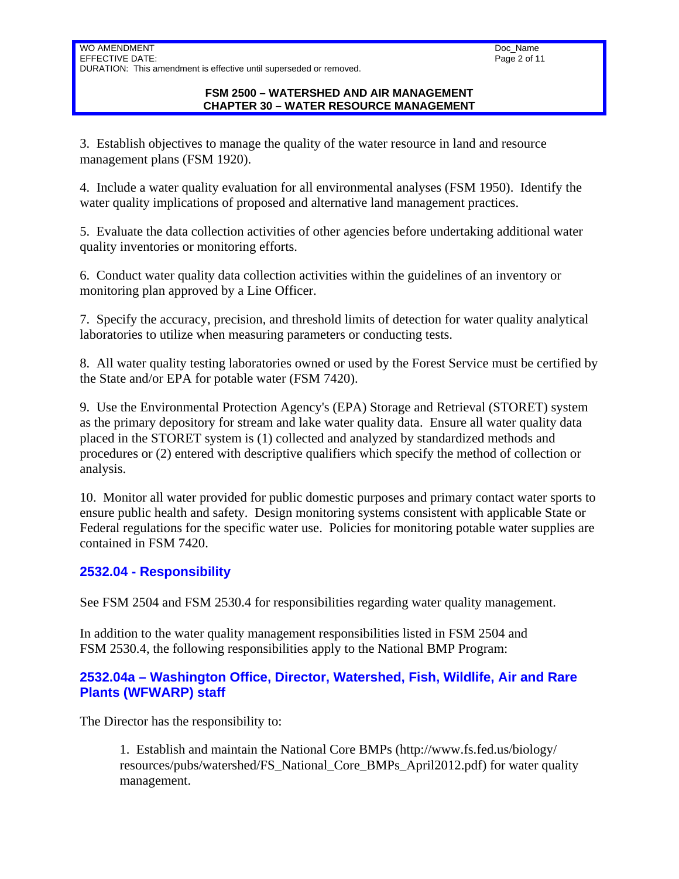3. Establish objectives to manage the quality of the water resource in land and resource management plans (FSM 1920).

4. Include a water quality evaluation for all environmental analyses (FSM 1950). Identify the water quality implications of proposed and alternative land management practices.

5. Evaluate the data collection activities of other agencies before undertaking additional water quality inventories or monitoring efforts.

6. Conduct water quality data collection activities within the guidelines of an inventory or monitoring plan approved by a Line Officer.

7. Specify the accuracy, precision, and threshold limits of detection for water quality analytical laboratories to utilize when measuring parameters or conducting tests.

8. All water quality testing laboratories owned or used by the Forest Service must be certified by the State and/or EPA for potable water (FSM 7420).

9. Use the Environmental Protection Agency's (EPA) Storage and Retrieval (STORET) system as the primary depository for stream and lake water quality data. Ensure all water quality data placed in the STORET system is (1) collected and analyzed by standardized methods and procedures or (2) entered with descriptive qualifiers which specify the method of collection or analysis.

10. Monitor all water provided for public domestic purposes and primary contact water sports to ensure public health and safety. Design monitoring systems consistent with applicable State or Federal regulations for the specific water use. Policies for monitoring potable water supplies are contained in FSM 7420.

# **2532.04 - Responsibility**

See FSM 2504 and FSM 2530.4 for responsibilities regarding water quality management.

In addition to the water quality management responsibilities listed in FSM 2504 and FSM 2530.4, the following responsibilities apply to the National BMP Program:

### **2532.04a – Washington Office, Director, Watershed, Fish, Wildlife, Air and Rare Plants (WFWARP) staff**

The Director has the responsibility to:

1. Establish and maintain the National Core BMPs (http://www.fs.fed.us/biology/ resources/pubs/watershed/FS\_National\_Core\_BMPs\_April2012.pdf) for water quality management.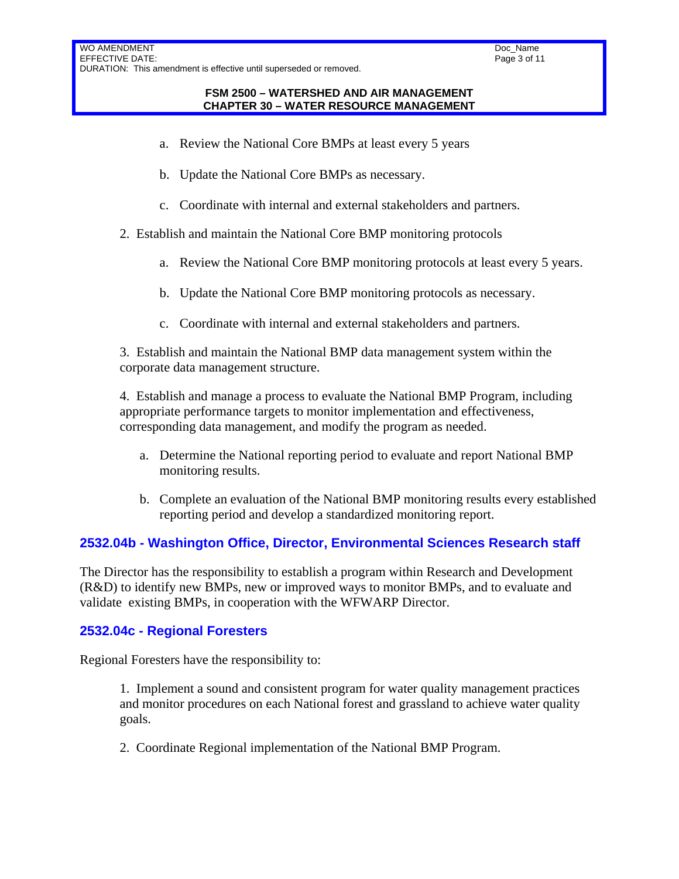- a. Review the National Core BMPs at least every 5 years
- b. Update the National Core BMPs as necessary.
- c. Coordinate with internal and external stakeholders and partners.
- 2. Establish and maintain the National Core BMP monitoring protocols
	- a. Review the National Core BMP monitoring protocols at least every 5 years.
	- b. Update the National Core BMP monitoring protocols as necessary.
	- c. Coordinate with internal and external stakeholders and partners.

3. Establish and maintain the National BMP data management system within the corporate data management structure.

4. Establish and manage a process to evaluate the National BMP Program, including appropriate performance targets to monitor implementation and effectiveness, corresponding data management, and modify the program as needed.

- a. Determine the National reporting period to evaluate and report National BMP monitoring results.
- b. Complete an evaluation of the National BMP monitoring results every established reporting period and develop a standardized monitoring report.

### **2532.04b - Washington Office, Director, Environmental Sciences Research staff**

The Director has the responsibility to establish a program within Research and Development (R&D) to identify new BMPs, new or improved ways to monitor BMPs, and to evaluate and validate existing BMPs, in cooperation with the WFWARP Director.

### **2532.04c - Regional Foresters**

Regional Foresters have the responsibility to:

1. Implement a sound and consistent program for water quality management practices and monitor procedures on each National forest and grassland to achieve water quality goals.

2. Coordinate Regional implementation of the National BMP Program.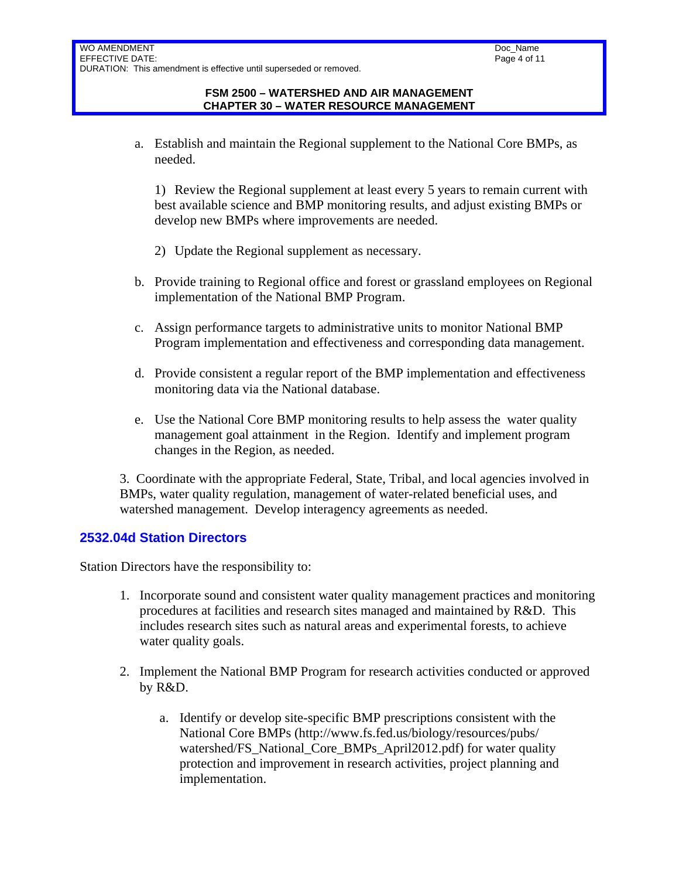a. Establish and maintain the Regional supplement to the National Core BMPs, as needed.

1) Review the Regional supplement at least every 5 years to remain current with best available science and BMP monitoring results, and adjust existing BMPs or develop new BMPs where improvements are needed.

- 2) Update the Regional supplement as necessary.
- b. Provide training to Regional office and forest or grassland employees on Regional implementation of the National BMP Program.
- c. Assign performance targets to administrative units to monitor National BMP Program implementation and effectiveness and corresponding data management.
- d. Provide consistent a regular report of the BMP implementation and effectiveness monitoring data via the National database.
- e. Use the National Core BMP monitoring results to help assess the water quality management goal attainment in the Region. Identify and implement program changes in the Region, as needed.

3. Coordinate with the appropriate Federal, State, Tribal, and local agencies involved in BMPs, water quality regulation, management of water-related beneficial uses, and watershed management. Develop interagency agreements as needed.

### **2532.04d Station Directors**

Station Directors have the responsibility to:

- 1. Incorporate sound and consistent water quality management practices and monitoring procedures at facilities and research sites managed and maintained by R&D. This includes research sites such as natural areas and experimental forests, to achieve water quality goals.
- 2. Implement the National BMP Program for research activities conducted or approved by R&D.
	- a. Identify or develop site-specific BMP prescriptions consistent with the National Core BMPs (http://www.fs.fed.us/biology/resources/pubs/ watershed/FS\_National\_Core\_BMPs\_April2012.pdf) for water quality protection and improvement in research activities, project planning and implementation.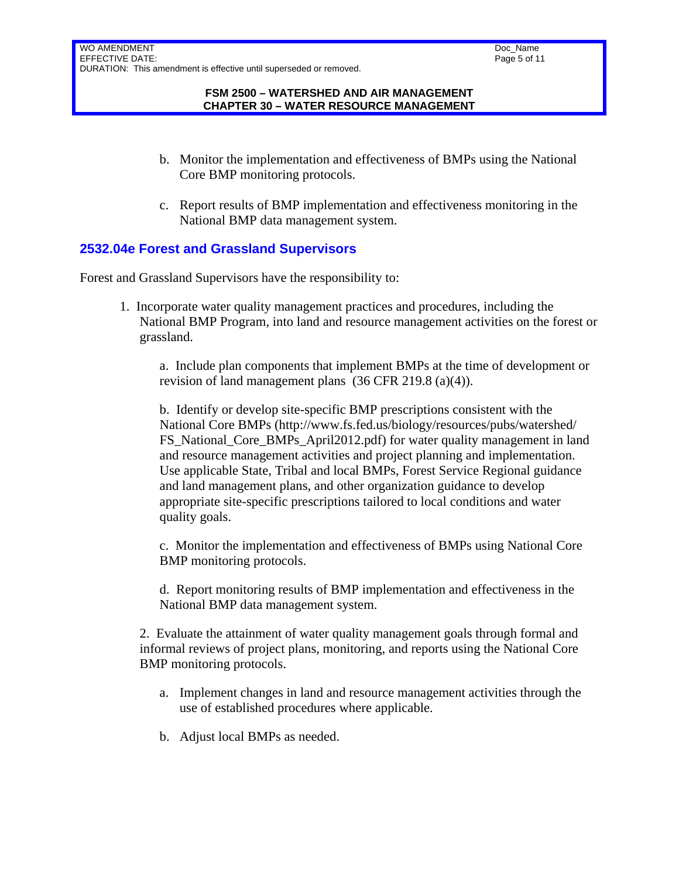- b. Monitor the implementation and effectiveness of BMPs using the National Core BMP monitoring protocols.
- c. Report results of BMP implementation and effectiveness monitoring in the National BMP data management system.

## **2532.04e Forest and Grassland Supervisors**

Forest and Grassland Supervisors have the responsibility to:

1. Incorporate water quality management practices and procedures, including the National BMP Program, into land and resource management activities on the forest or grassland.

a. Include plan components that implement BMPs at the time of development or revision of land management plans (36 CFR 219.8 (a)(4)).

b. Identify or develop site-specific BMP prescriptions consistent with the National Core BMPs (http://www.fs.fed.us/biology/resources/pubs/watershed/ FS National Core BMPs April2012.pdf) for water quality management in land and resource management activities and project planning and implementation. Use applicable State, Tribal and local BMPs, Forest Service Regional guidance and land management plans, and other organization guidance to develop appropriate site-specific prescriptions tailored to local conditions and water quality goals.

c. Monitor the implementation and effectiveness of BMPs using National Core BMP monitoring protocols.

d. Report monitoring results of BMP implementation and effectiveness in the National BMP data management system.

2. Evaluate the attainment of water quality management goals through formal and informal reviews of project plans, monitoring, and reports using the National Core BMP monitoring protocols.

- a. Implement changes in land and resource management activities through the use of established procedures where applicable.
- b. Adjust local BMPs as needed.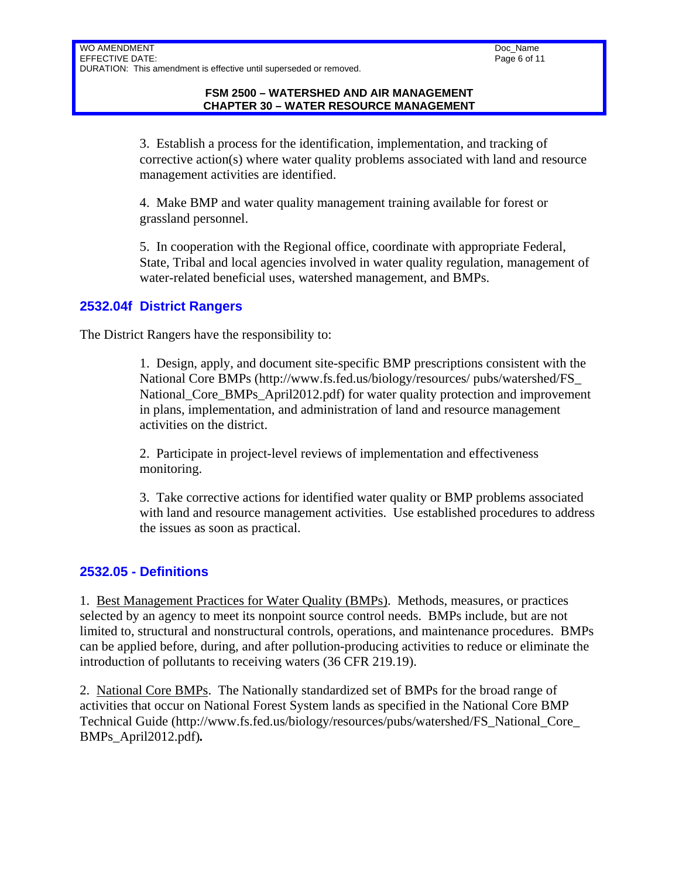3. Establish a process for the identification, implementation, and tracking of corrective action(s) where water quality problems associated with land and resource management activities are identified.

4. Make BMP and water quality management training available for forest or grassland personnel.

5. In cooperation with the Regional office, coordinate with appropriate Federal, State, Tribal and local agencies involved in water quality regulation, management of water-related beneficial uses, watershed management, and BMPs.

### **2532.04f District Rangers**

The District Rangers have the responsibility to:

1. Design, apply, and document site-specific BMP prescriptions consistent with the National Core BMPs (http://www.fs.fed.us/biology/resources/ pubs/watershed/FS\_ National Core BMPs April2012.pdf) for water quality protection and improvement in plans, implementation, and administration of land and resource management activities on the district.

2. Participate in project-level reviews of implementation and effectiveness monitoring.

3. Take corrective actions for identified water quality or BMP problems associated with land and resource management activities. Use established procedures to address the issues as soon as practical.

### **2532.05 - Definitions**

1. Best Management Practices for Water Quality (BMPs). Methods, measures, or practices selected by an agency to meet its nonpoint source control needs. BMPs include, but are not limited to, structural and nonstructural controls, operations, and maintenance procedures. BMPs can be applied before, during, and after pollution-producing activities to reduce or eliminate the introduction of pollutants to receiving waters (36 CFR 219.19).

2. National Core BMPs. The Nationally standardized set of BMPs for the broad range of activities that occur on National Forest System lands as specified in the National Core BMP Technical Guide (http://www.fs.fed.us/biology/resources/pubs/watershed/FS\_National\_Core\_ BMPs\_April2012.pdf)*.*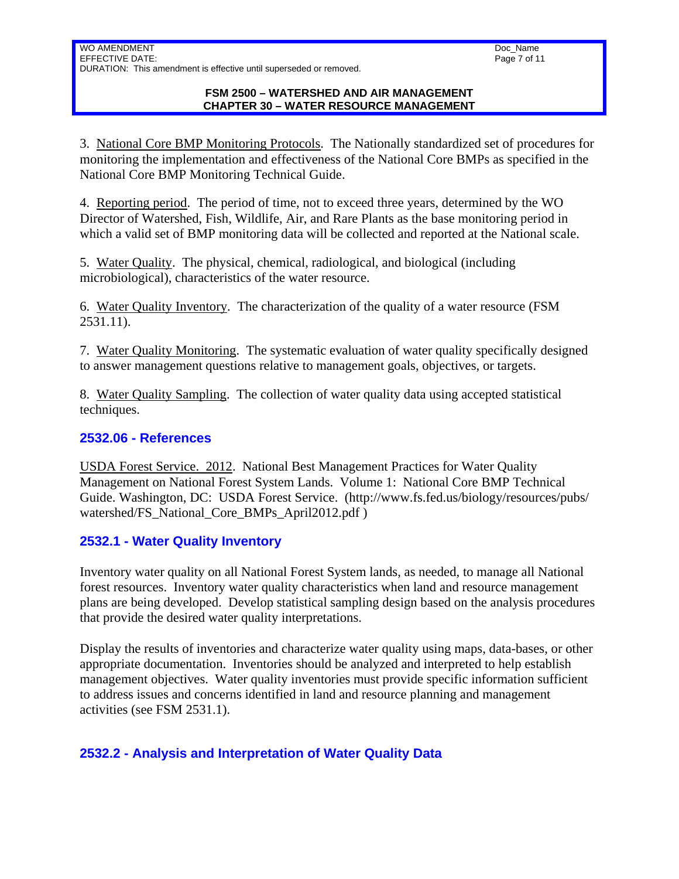3. National Core BMP Monitoring Protocols. The Nationally standardized set of procedures for monitoring the implementation and effectiveness of the National Core BMPs as specified in the National Core BMP Monitoring Technical Guide.

4. Reporting period. The period of time, not to exceed three years, determined by the WO Director of Watershed, Fish, Wildlife, Air, and Rare Plants as the base monitoring period in which a valid set of BMP monitoring data will be collected and reported at the National scale.

5. Water Quality. The physical, chemical, radiological, and biological (including microbiological), characteristics of the water resource.

6. Water Quality Inventory. The characterization of the quality of a water resource (FSM 2531.11).

7. Water Quality Monitoring. The systematic evaluation of water quality specifically designed to answer management questions relative to management goals, objectives, or targets.

8. Water Quality Sampling. The collection of water quality data using accepted statistical techniques.

## **2532.06 - References**

USDA Forest Service. 2012. National Best Management Practices for Water Quality Management on National Forest System Lands. Volume 1: National Core BMP Technical Guide. Washington, DC: USDA Forest Service. (http://www.fs.fed.us/biology/resources/pubs/ watershed/FS\_National\_Core\_BMPs\_April2012.pdf )

# **2532.1 - Water Quality Inventory**

Inventory water quality on all National Forest System lands, as needed, to manage all National forest resources. Inventory water quality characteristics when land and resource management plans are being developed. Develop statistical sampling design based on the analysis procedures that provide the desired water quality interpretations.

Display the results of inventories and characterize water quality using maps, data-bases, or other appropriate documentation. Inventories should be analyzed and interpreted to help establish management objectives. Water quality inventories must provide specific information sufficient to address issues and concerns identified in land and resource planning and management activities (see FSM 2531.1).

# **2532.2 - Analysis and Interpretation of Water Quality Data**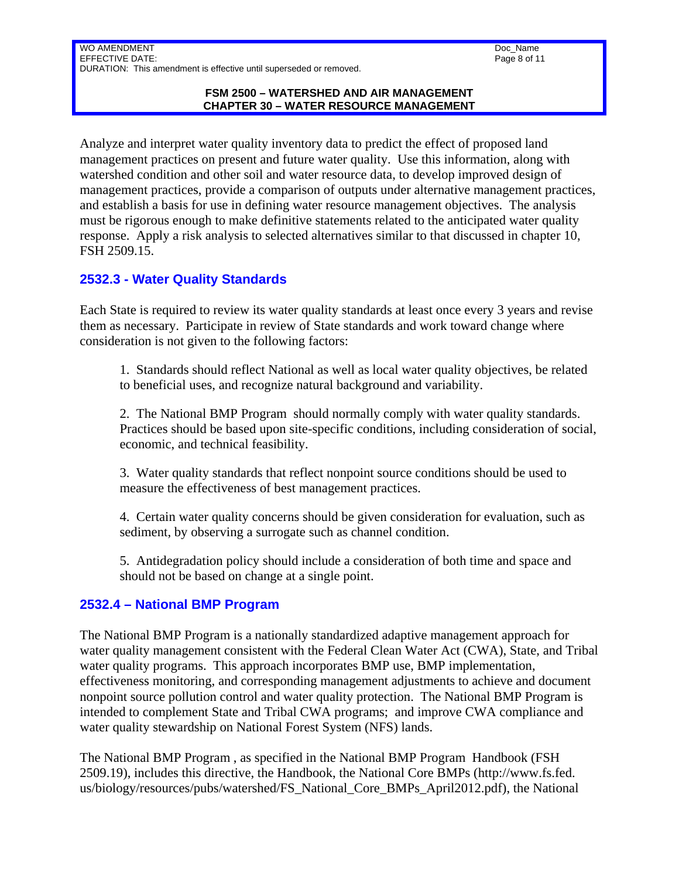WO AMENDMENT EFFECTIVE DATE: DURATION: This amendment is effective until superseded or removed.

#### **FSM 2500 – WATERSHED AND AIR MANAGEMENT CHAPTER 30 – WATER RESOURCE MANAGEMENT**

Analyze and interpret water quality inventory data to predict the effect of proposed land management practices on present and future water quality. Use this information, along with watershed condition and other soil and water resource data, to develop improved design of management practices, provide a comparison of outputs under alternative management practices, and establish a basis for use in defining water resource management objectives. The analysis must be rigorous enough to make definitive statements related to the anticipated water quality response. Apply a risk analysis to selected alternatives similar to that discussed in chapter 10, FSH 2509.15.

# **2532.3 - Water Quality Standards**

Each State is required to review its water quality standards at least once every 3 years and revise them as necessary. Participate in review of State standards and work toward change where consideration is not given to the following factors:

1. Standards should reflect National as well as local water quality objectives, be related to beneficial uses, and recognize natural background and variability.

2. The National BMP Program should normally comply with water quality standards. Practices should be based upon site-specific conditions, including consideration of social, economic, and technical feasibility.

3. Water quality standards that reflect nonpoint source conditions should be used to measure the effectiveness of best management practices.

4. Certain water quality concerns should be given consideration for evaluation, such as sediment, by observing a surrogate such as channel condition.

5. Antidegradation policy should include a consideration of both time and space and should not be based on change at a single point.

### **2532.4 – National BMP Program**

The National BMP Program is a nationally standardized adaptive management approach for water quality management consistent with the Federal Clean Water Act (CWA), State, and Tribal water quality programs. This approach incorporates BMP use, BMP implementation, effectiveness monitoring, and corresponding management adjustments to achieve and document nonpoint source pollution control and water quality protection. The National BMP Program is intended to complement State and Tribal CWA programs; and improve CWA compliance and water quality stewardship on National Forest System (NFS) lands.

The National BMP Program , as specified in the National BMP Program Handbook (FSH 2509.19), includes this directive, the Handbook, the National Core BMPs (http://www.fs.fed. us/biology/resources/pubs/watershed/FS\_National\_Core\_BMPs\_April2012.pdf), the National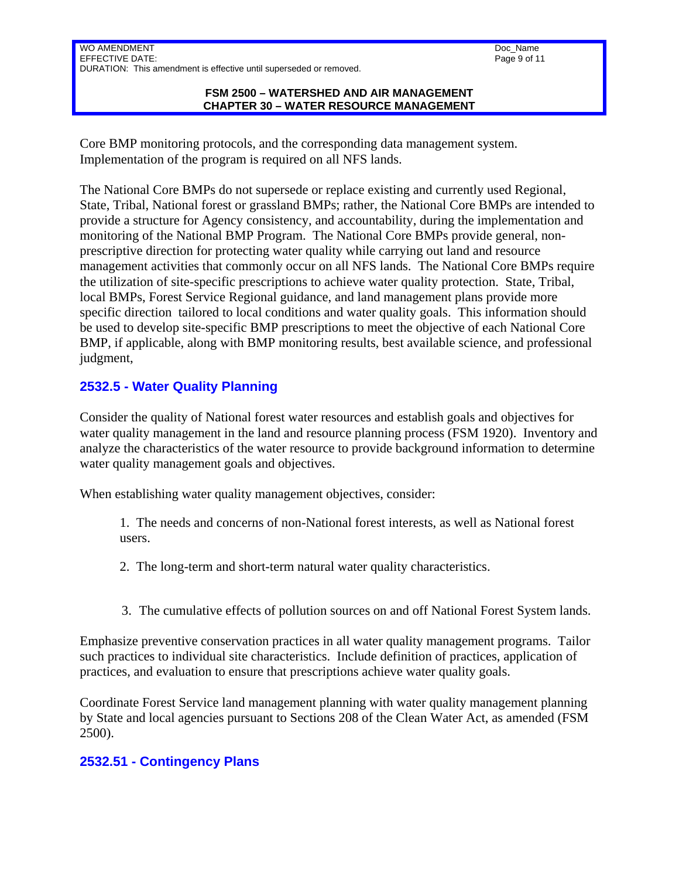WO AMENDMENT EFFECTIVE DATE: DURATION: This amendment is effective until superseded or removed.

#### **FSM 2500 – WATERSHED AND AIR MANAGEMENT CHAPTER 30 – WATER RESOURCE MANAGEMENT**

Core BMP monitoring protocols, and the corresponding data management system. Implementation of the program is required on all NFS lands.

The National Core BMPs do not supersede or replace existing and currently used Regional, State, Tribal, National forest or grassland BMPs; rather, the National Core BMPs are intended to provide a structure for Agency consistency, and accountability, during the implementation and monitoring of the National BMP Program. The National Core BMPs provide general, nonprescriptive direction for protecting water quality while carrying out land and resource management activities that commonly occur on all NFS lands. The National Core BMPs require the utilization of site-specific prescriptions to achieve water quality protection. State, Tribal, local BMPs, Forest Service Regional guidance, and land management plans provide more specific direction tailored to local conditions and water quality goals. This information should be used to develop site-specific BMP prescriptions to meet the objective of each National Core BMP, if applicable, along with BMP monitoring results, best available science, and professional judgment,

# **2532.5 - Water Quality Planning**

Consider the quality of National forest water resources and establish goals and objectives for water quality management in the land and resource planning process (FSM 1920). Inventory and analyze the characteristics of the water resource to provide background information to determine water quality management goals and objectives.

When establishing water quality management objectives, consider:

1. The needs and concerns of non-National forest interests, as well as National forest users.

2. The long-term and short-term natural water quality characteristics.

3. The cumulative effects of pollution sources on and off National Forest System lands.

Emphasize preventive conservation practices in all water quality management programs. Tailor such practices to individual site characteristics. Include definition of practices, application of practices, and evaluation to ensure that prescriptions achieve water quality goals.

Coordinate Forest Service land management planning with water quality management planning by State and local agencies pursuant to Sections 208 of the Clean Water Act, as amended (FSM 2500).

### **2532.51 - Contingency Plans**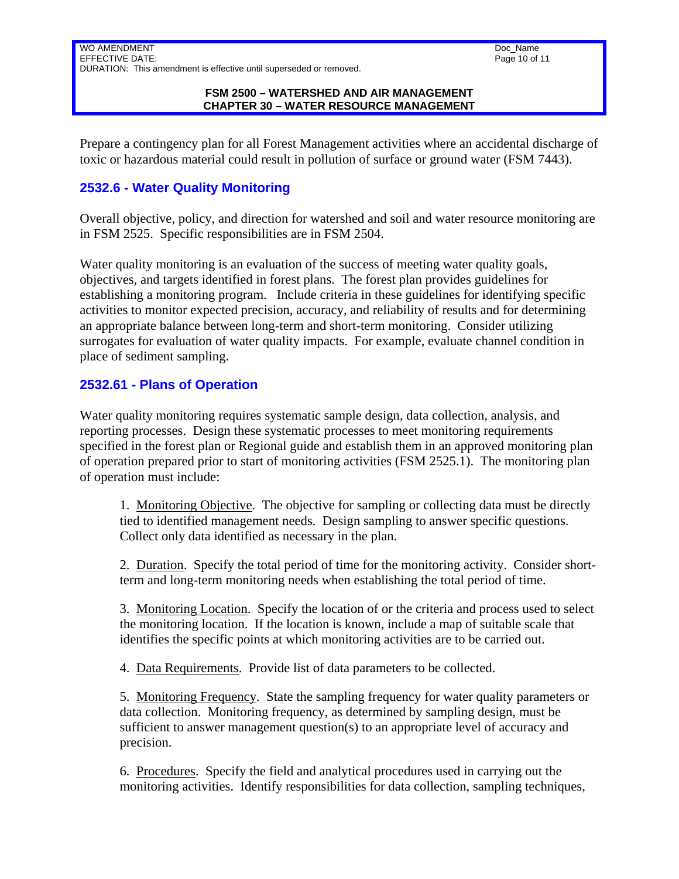WO AMENDMENT EFFECTIVE DATE: DURATION: This amendment is effective until superseded or removed.

#### **FSM 2500 – WATERSHED AND AIR MANAGEMENT CHAPTER 30 – WATER RESOURCE MANAGEMENT**

Prepare a contingency plan for all Forest Management activities where an accidental discharge of toxic or hazardous material could result in pollution of surface or ground water (FSM 7443).

## **2532.6 - Water Quality Monitoring**

Overall objective, policy, and direction for watershed and soil and water resource monitoring are in FSM 2525. Specific responsibilities are in FSM 2504.

Water quality monitoring is an evaluation of the success of meeting water quality goals, objectives, and targets identified in forest plans. The forest plan provides guidelines for establishing a monitoring program. Include criteria in these guidelines for identifying specific activities to monitor expected precision, accuracy, and reliability of results and for determining an appropriate balance between long-term and short-term monitoring. Consider utilizing surrogates for evaluation of water quality impacts. For example, evaluate channel condition in place of sediment sampling.

### **2532.61 - Plans of Operation**

Water quality monitoring requires systematic sample design, data collection, analysis, and reporting processes. Design these systematic processes to meet monitoring requirements specified in the forest plan or Regional guide and establish them in an approved monitoring plan of operation prepared prior to start of monitoring activities (FSM 2525.1). The monitoring plan of operation must include:

1. Monitoring Objective. The objective for sampling or collecting data must be directly tied to identified management needs. Design sampling to answer specific questions. Collect only data identified as necessary in the plan.

2. Duration. Specify the total period of time for the monitoring activity. Consider shortterm and long-term monitoring needs when establishing the total period of time.

3. Monitoring Location. Specify the location of or the criteria and process used to select the monitoring location. If the location is known, include a map of suitable scale that identifies the specific points at which monitoring activities are to be carried out.

4. Data Requirements. Provide list of data parameters to be collected.

5. Monitoring Frequency. State the sampling frequency for water quality parameters or data collection. Monitoring frequency, as determined by sampling design, must be sufficient to answer management question(s) to an appropriate level of accuracy and precision.

6. Procedures. Specify the field and analytical procedures used in carrying out the monitoring activities. Identify responsibilities for data collection, sampling techniques,